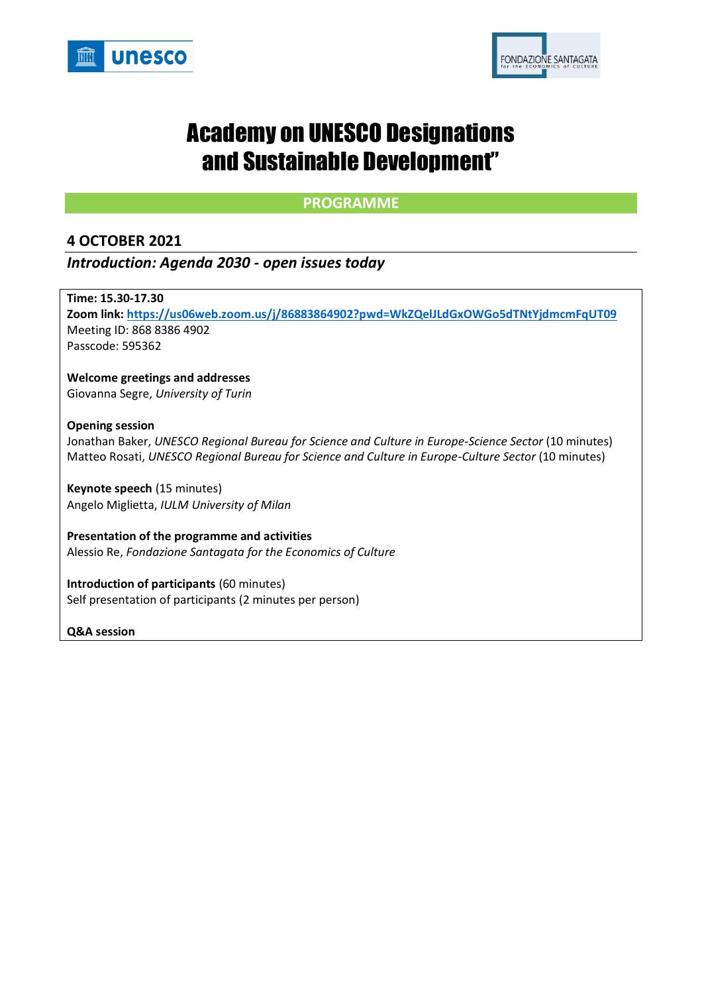



# Academy on UNESCO Designations and Sustainable Development"

## **PROGRAMME**

## **4 OCTOBER 2021**

## *Introduction: Agenda 2030 - open issues today*

**Time: 15.30-17.30 Zoom link[: https://us06web.zoom.us/j/86883864902?pwd=WkZQelJLdGxOWGo5dTNtYjdmcmFqUT09](https://us06web.zoom.us/j/86883864902?pwd=WkZQelJLdGxOWGo5dTNtYjdmcmFqUT09)** Meeting ID: 868 8386 4902 Passcode: 595362

**Welcome greetings and addresses** Giovanna Segre, *University of Turin*

#### **Opening session**

Jonathan Baker, *UNESCO Regional Bureau for Science and Culture in Europe-Science Sector* (10 minutes) Matteo Rosati, *UNESCO Regional Bureau for Science and Culture in Europe-Culture Sector* (10 minutes)

**Keynote speech** (15 minutes) Angelo Miglietta, *IULM University of Milan*

**Presentation of the programme and activities** Alessio Re, *Fondazione Santagata for the Economics of Culture*

**Introduction of participants** (60 minutes) Self presentation of participants (2 minutes per person)

**Q&A session**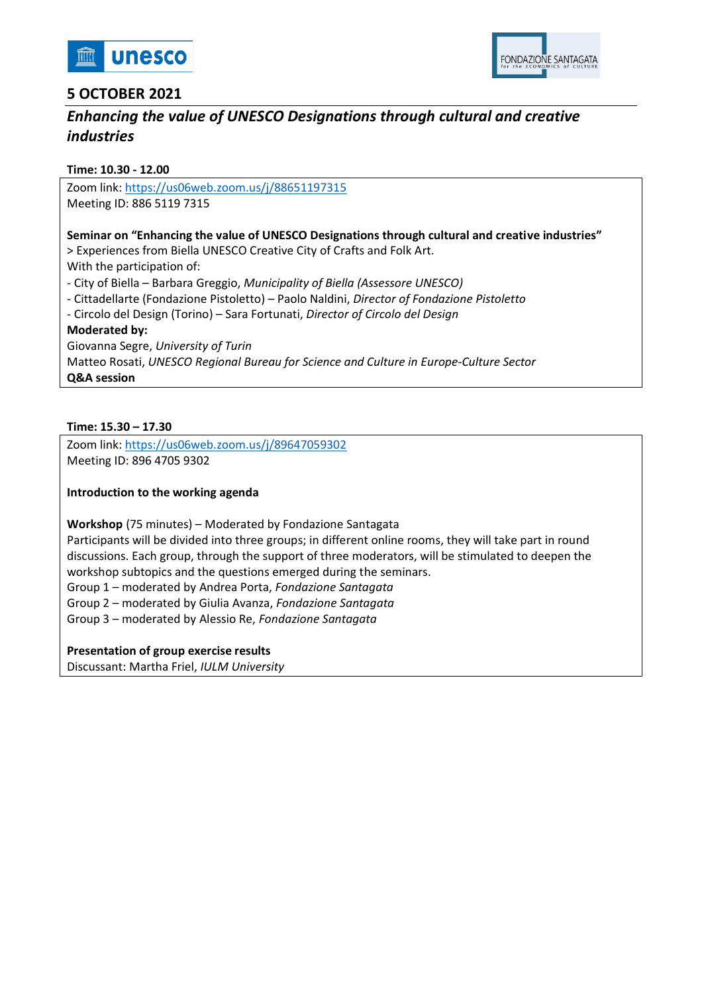



# **5 OCTOBER 2021**

# *Enhancing the value of UNESCO Designations through cultural and creative industries*

#### **Time: 10.30 - 12.00**

Zoom link:<https://us06web.zoom.us/j/88651197315> Meeting ID: 886 5119 7315

## **Seminar on "Enhancing the value of UNESCO Designations through cultural and creative industries"**

> Experiences from Biella UNESCO Creative City of Crafts and Folk Art.

With the participation of:

- City of Biella – Barbara Greggio, *Municipality of Biella (Assessore UNESCO)*

- Cittadellarte (Fondazione Pistoletto) Paolo Naldini, *Director of Fondazione Pistoletto*
- Circolo del Design (Torino) Sara Fortunati, *Director of Circolo del Design*

#### **Moderated by:**

Giovanna Segre, *University of Turin*  Matteo Rosati, *UNESCO Regional Bureau for Science and Culture in Europe-Culture Sector* **Q&A session**

#### **Time: 15.30 – 17.30**

Zoom link:<https://us06web.zoom.us/j/89647059302> Meeting ID: 896 4705 9302

#### **Introduction to the working agenda**

**Workshop** (75 minutes) – Moderated by Fondazione Santagata

Participants will be divided into three groups; in different online rooms, they will take part in round discussions. Each group, through the support of three moderators, will be stimulated to deepen the workshop subtopics and the questions emerged during the seminars.

Group 1 – moderated by Andrea Porta, *Fondazione Santagata*

Group 2 – moderated by Giulia Avanza, *Fondazione Santagata*

Group 3 – moderated by Alessio Re, *Fondazione Santagata*

#### **Presentation of group exercise results**

Discussant: Martha Friel, *IULM University*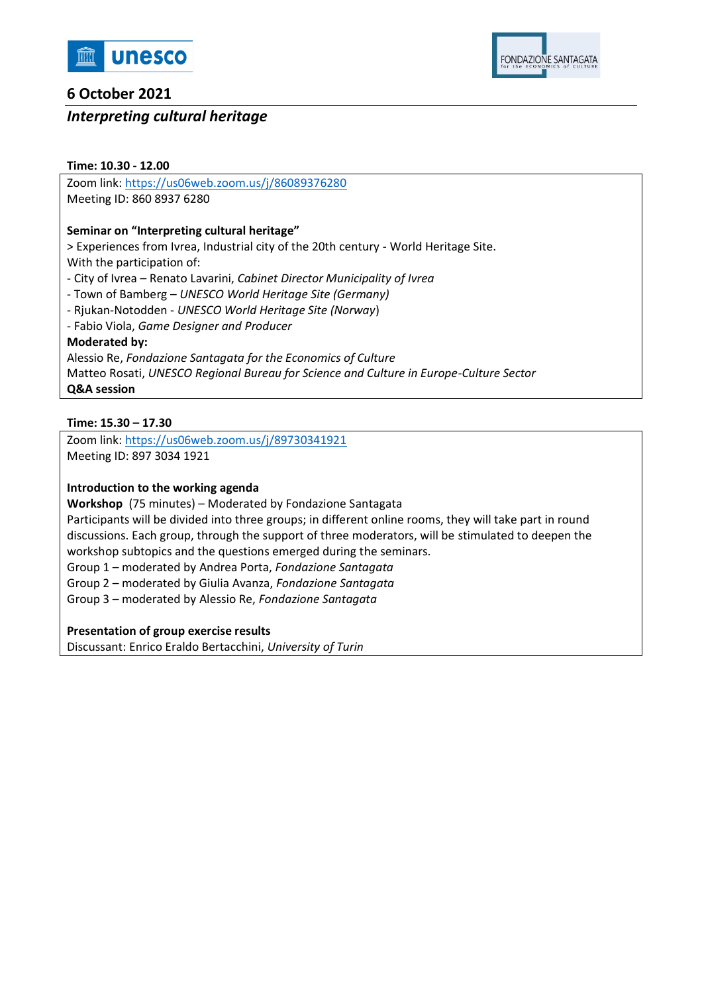

# **6 October 2021**

## *Interpreting cultural heritage*

## **Time: 10.30 - 12.00**

Zoom link:<https://us06web.zoom.us/j/86089376280> Meeting ID: 860 8937 6280

## **Seminar on "Interpreting cultural heritage"**

> Experiences from Ivrea, Industrial city of the 20th century - World Heritage Site. With the participation of:

- City of Ivrea – Renato Lavarini, *Cabinet Director Municipality of Ivrea*

- Town of Bamberg – *UNESCO World Heritage Site (Germany)*

- Rjukan-Notodden - *UNESCO World Heritage Site (Norway*)

- Fabio Viola, *Game Designer and Producer*

## **Moderated by:**

Alessio Re, *Fondazione Santagata for the Economics of Culture* Matteo Rosati, *UNESCO Regional Bureau for Science and Culture in Europe-Culture Sector* **Q&A session**

## **Time: 15.30 – 17.30**

Zoom link:<https://us06web.zoom.us/j/89730341921> Meeting ID: 897 3034 1921

## **Introduction to the working agenda**

**Workshop** (75 minutes) – Moderated by Fondazione Santagata

Participants will be divided into three groups; in different online rooms, they will take part in round discussions. Each group, through the support of three moderators, will be stimulated to deepen the workshop subtopics and the questions emerged during the seminars.

Group 1 – moderated by Andrea Porta, *Fondazione Santagata*

Group 2 – moderated by Giulia Avanza, *Fondazione Santagata*

Group 3 – moderated by Alessio Re, *Fondazione Santagata*

## **Presentation of group exercise results**

Discussant: Enrico Eraldo Bertacchini, *University of Turin*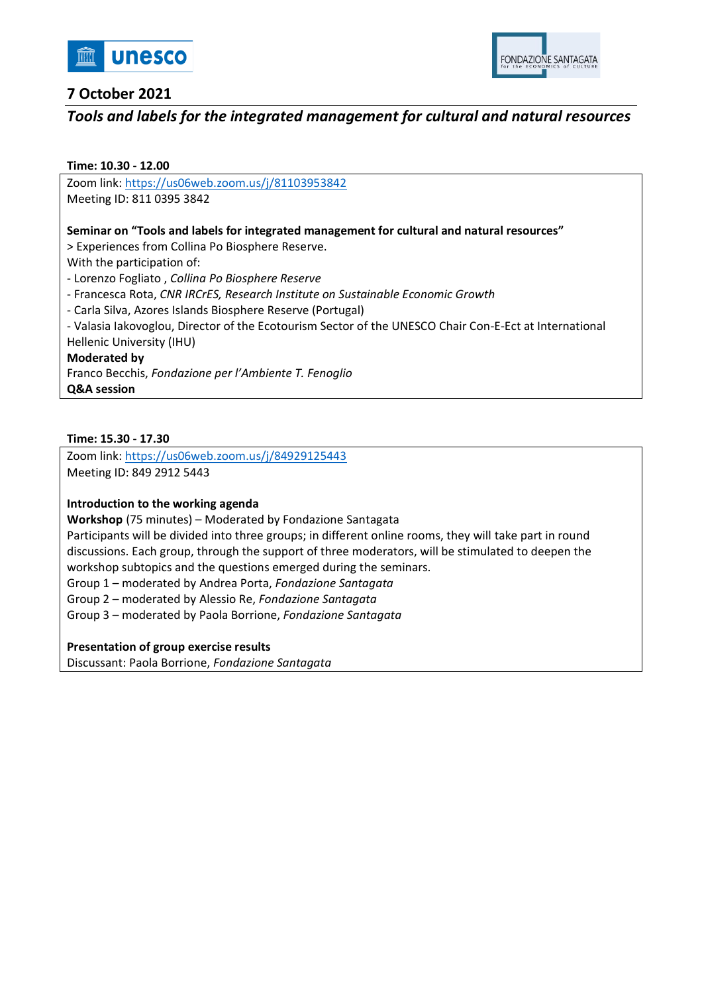



# **7 October 2021**

# *Tools and labels for the integrated management for cultural and natural resources*

#### **Time: 10.30 - 12.00**

Zoom link:<https://us06web.zoom.us/j/81103953842> Meeting ID: 811 0395 3842

#### **Seminar on "Tools and labels for integrated management for cultural and natural resources"**

> Experiences from Collina Po Biosphere Reserve.

With the participation of:

- Lorenzo Fogliato , *Collina Po Biosphere Reserve*

- Francesca Rota, *CNR IRCrES, Research Institute on Sustainable Economic Growth* 

- Carla Silva, Azores Islands Biosphere Reserve (Portugal)

- Valasia Iakovoglou, Director of the Ecotourism Sector of the UNESCO Chair Con-E-Ect at International Hellenic University (IHU)

#### **Moderated by**

Franco Becchis, *Fondazione per l'Ambiente T. Fenoglio* **Q&A session**

#### **Time: 15.30 - 17.30**

Zoom link:<https://us06web.zoom.us/j/84929125443> Meeting ID: 849 2912 5443

#### **Introduction to the working agenda**

**Workshop** (75 minutes) – Moderated by Fondazione Santagata

Participants will be divided into three groups; in different online rooms, they will take part in round discussions. Each group, through the support of three moderators, will be stimulated to deepen the workshop subtopics and the questions emerged during the seminars.

Group 1 – moderated by Andrea Porta, *Fondazione Santagata*

Group 2 – moderated by Alessio Re, *Fondazione Santagata*

Group 3 – moderated by Paola Borrione, *Fondazione Santagata*

#### **Presentation of group exercise results**

Discussant: Paola Borrione, *Fondazione Santagata*